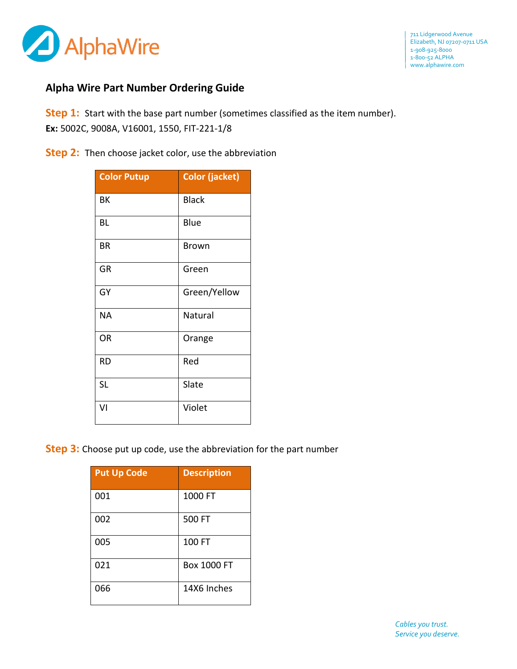

## **Alpha Wire Part Number Ordering Guide**

**Step 1:** Start with the base part number (sometimes classified as the item number). **Ex:** 5002C, 9008A, V16001, 1550, FIT-221-1/8

**Step 2:** Then choose jacket color, use the abbreviation

| <b>Color Putup</b> | <b>Color (jacket)</b> |
|--------------------|-----------------------|
| ΒK                 | <b>Black</b>          |
| BL                 | Blue                  |
| BR                 | <b>Brown</b>          |
| GR                 | Green                 |
| GY                 | Green/Yellow          |
| <b>NA</b>          | Natural               |
| OR                 | Orange                |
| RD                 | Red                   |
| <b>SL</b>          | Slate                 |
| VI                 | Violet                |

**Step 3:** Choose put up code, use the abbreviation for the part number

| <b>Put Up Code</b> | <b>Description</b> |
|--------------------|--------------------|
| 001                | 1000 FT            |
| 002                | 500 FT             |
| 005                | 100 FT             |
| 021                | <b>Box 1000 FT</b> |
| 066                | 14X6 Inches        |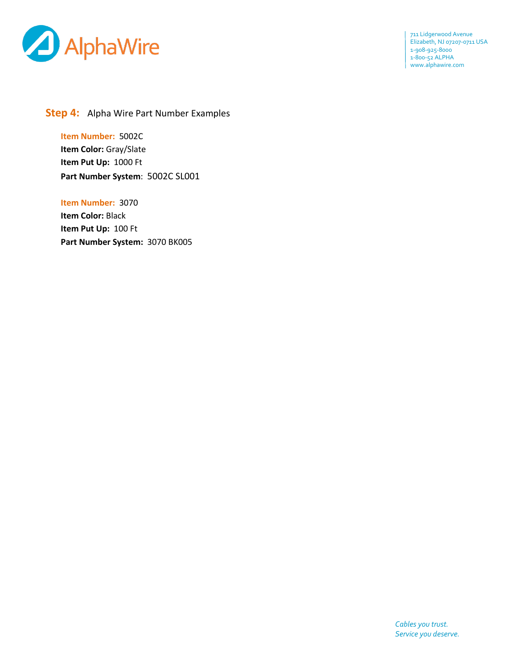

711 Lidgerwood Avenue Elizabeth, NJ 07207-0711 USA 1-908-925-8000 1-800-52 ALPHA www.alphawire.com

## **Step 4:** Alpha Wire Part Number Examples

**Item Number:** 5002C **Item Color:** Gray/Slate **Item Put Up:** 1000 Ft **Part Number System**: 5002C SL001

**Item Number:** 3070 **Item Color:** Black **Item Put Up:** 100 Ft **Part Number System:** 3070 BK005